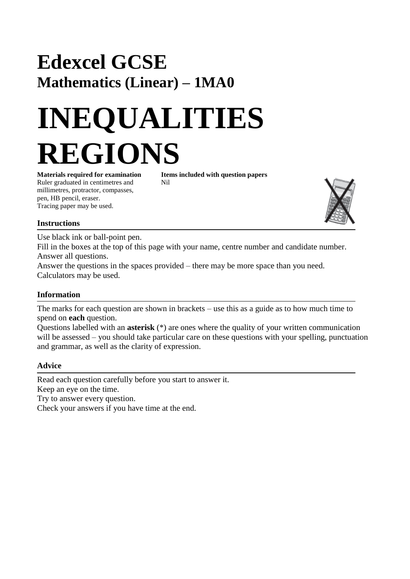# **Edexcel GCSE Mathematics (Linear) – 1MA0**

# **INEQUALITIES REGIONS**

**Materials required for examination Items included with question papers** Ruler graduated in centimetres and Nil millimetres, protractor, compasses, pen, HB pencil, eraser. Tracing paper may be used.



#### **Instructions**

Use black ink or ball-point pen.

Fill in the boxes at the top of this page with your name, centre number and candidate number. Answer all questions.

Answer the questions in the spaces provided – there may be more space than you need. Calculators may be used.

#### **Information**

The marks for each question are shown in brackets – use this as a guide as to how much time to spend on **each** question.

Questions labelled with an **asterisk** (\*) are ones where the quality of your written communication will be assessed – you should take particular care on these questions with your spelling, punctuation and grammar, as well as the clarity of expression.

#### **Advice**

Read each question carefully before you start to answer it. Keep an eye on the time. Try to answer every question.

Check your answers if you have time at the end.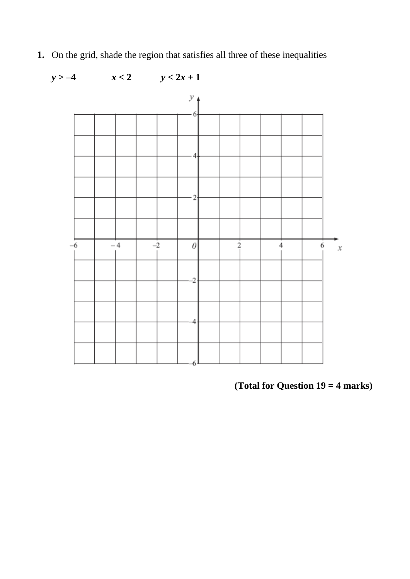**1.** On the grid, shade the region that satisfies all three of these inequalities



### **(Total for Question 19 = 4 marks)**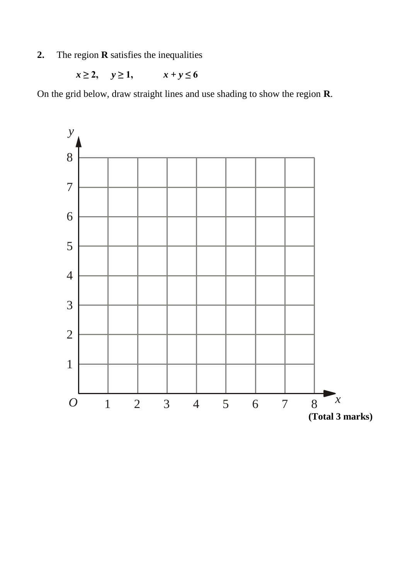**2.** The region **R** satisfies the inequalities

*x* ≥ 2, *y* ≥ 1,  $x + y \le 6$ 

On the grid below, draw straight lines and use shading to show the region **R**.

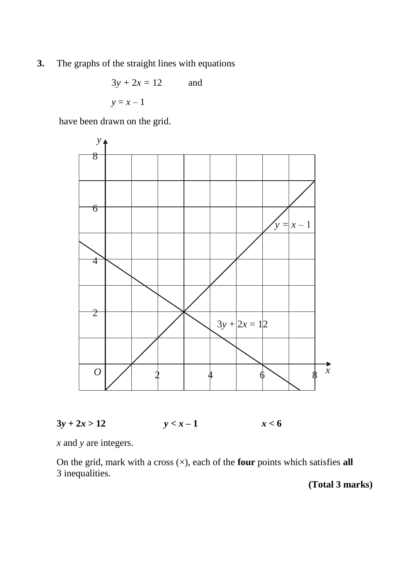**3.** The graphs of the straight lines with equations

$$
3y + 2x = 12
$$
 and  

$$
y = x - 1
$$

have been drawn on the grid.





*x* and *y* are integers.

On the grid, mark with a cross  $(\times)$ , each of the **four** points which satisfies **all** 3 inequalities.

**(Total 3 marks)**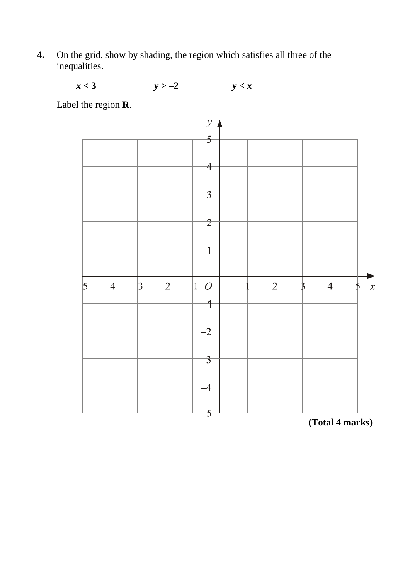**4.** On the grid, show by shading, the region which satisfies all three of the inequalities.

 $x < 3$   $y > -2$   $y < x$ 

Label the region **R**.



**(Total 4 marks)**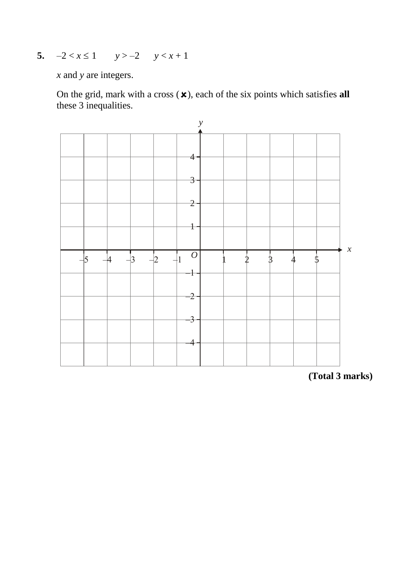**5.**  $-2 < x \le 1$   $y > -2$   $y < x + 1$ 

*x* and *y* are integers.

On the grid, mark with a cross  $(\mathbf{x})$ , each of the six points which satisfies all these 3 inequalities.



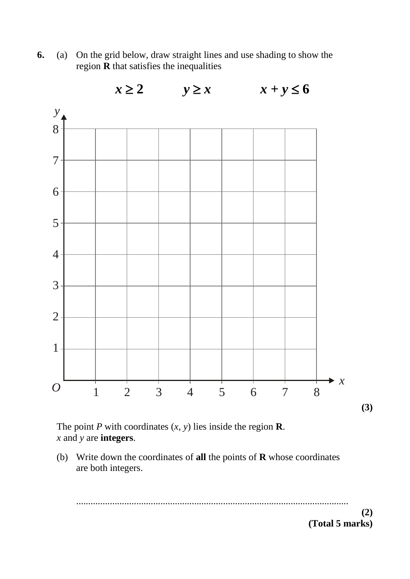**6.** (a) On the grid below, draw straight lines and use shading to show the region  $\overline{R}$  that satisfies the inequalities



The point *P* with coordinates  $(x, y)$  lies inside the region **R**. *x* and *y* are **integers**.

(b) Write down the coordinates of **all** the points of **R** whose coordinates are both integers.

................................................................................................................. **(2) (Total 5 marks)**